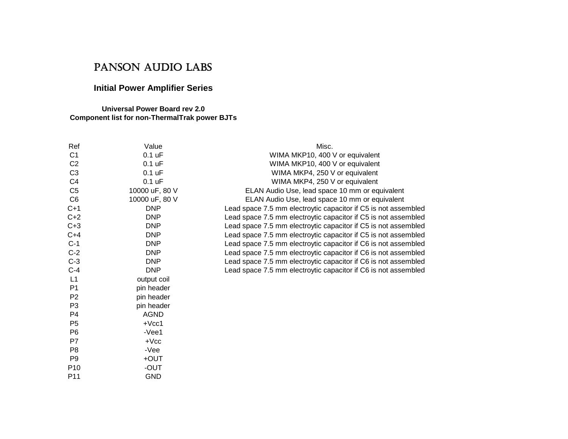## PANSON AUDIO LABS

## **Initial Power Amplifier Series**

## **Universal Power Board rev 2.0Component list for non-ThermalTrak power BJTs**

| Ref             | Value          | Misc.                                                          |
|-----------------|----------------|----------------------------------------------------------------|
| C <sub>1</sub>  | $0.1$ uF       | WIMA MKP10, 400 V or equivalent                                |
| C <sub>2</sub>  | $0.1$ uF       | WIMA MKP10, 400 V or equivalent                                |
| C <sub>3</sub>  | $0.1$ uF       | WIMA MKP4, 250 V or equivalent                                 |
| C <sub>4</sub>  | $0.1$ uF       | WIMA MKP4, 250 V or equivalent                                 |
| C <sub>5</sub>  | 10000 uF, 80 V | ELAN Audio Use, lead space 10 mm or equivalent                 |
| C <sub>6</sub>  | 10000 uF, 80 V | ELAN Audio Use, lead space 10 mm or equivalent                 |
| $C+1$           | <b>DNP</b>     | Lead space 7.5 mm electroytic capacitor if C5 is not assembled |
| $C+2$           | <b>DNP</b>     | Lead space 7.5 mm electroytic capacitor if C5 is not assembled |
| $C+3$           | <b>DNP</b>     | Lead space 7.5 mm electroytic capacitor if C5 is not assembled |
| $C+4$           | <b>DNP</b>     | Lead space 7.5 mm electroytic capacitor if C5 is not assembled |
| $C-1$           | <b>DNP</b>     | Lead space 7.5 mm electroytic capacitor if C6 is not assembled |
| $C-2$           | <b>DNP</b>     | Lead space 7.5 mm electroytic capacitor if C6 is not assembled |
| $C-3$           | <b>DNP</b>     | Lead space 7.5 mm electroytic capacitor if C6 is not assembled |
| $C-4$           | <b>DNP</b>     | Lead space 7.5 mm electroytic capacitor if C6 is not assembled |
| L1              | output coil    |                                                                |
| P <sub>1</sub>  | pin header     |                                                                |
| P <sub>2</sub>  | pin header     |                                                                |
| P <sub>3</sub>  | pin header     |                                                                |
| P <sub>4</sub>  | <b>AGND</b>    |                                                                |
| P <sub>5</sub>  | $+$ $Vcc1$     |                                                                |
| P <sub>6</sub>  | $-Vee1$        |                                                                |
| P7              | $+$ $Vcc$      |                                                                |
| P <sub>8</sub>  | -Vee           |                                                                |
| P <sub>9</sub>  | +OUT           |                                                                |
| P <sub>10</sub> | -OUT           |                                                                |
| P <sub>11</sub> | <b>GND</b>     |                                                                |